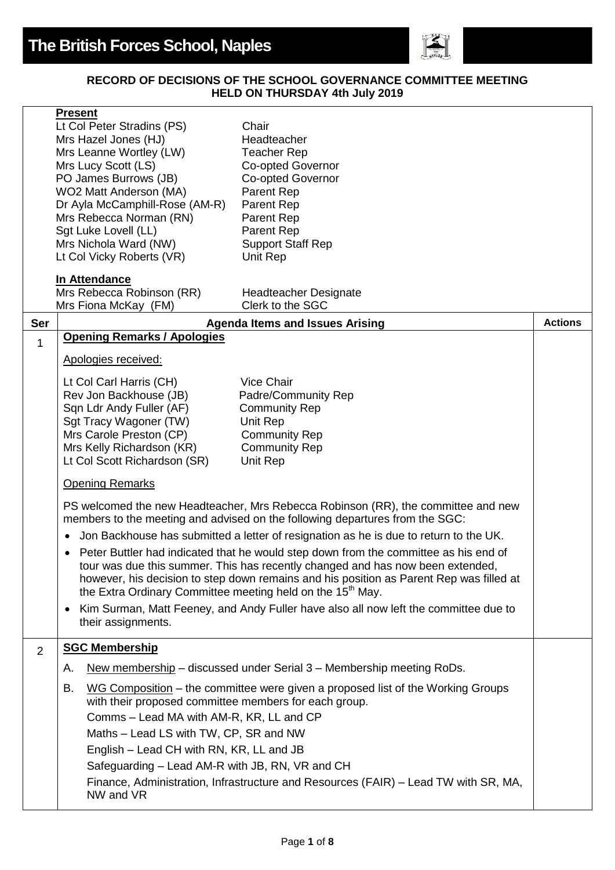

## **RECORD OF DECISIONS OF THE SCHOOL GOVERNANCE COMMITTEE MEETING HELD ON THURSDAY 4th July 2019**

|                | <b>Present</b><br>Lt Col Peter Stradins (PS)<br>Mrs Hazel Jones (HJ)<br>Mrs Leanne Wortley (LW)<br>Mrs Lucy Scott (LS)<br>PO James Burrows (JB)<br>WO2 Matt Anderson (MA)<br>Dr Ayla McCamphill-Rose (AM-R)<br>Mrs Rebecca Norman (RN)<br>Sgt Luke Lovell (LL)<br>Mrs Nichola Ward (NW)                                                     | Chair<br>Headteacher<br><b>Teacher Rep</b><br><b>Co-opted Governor</b><br><b>Co-opted Governor</b><br>Parent Rep<br>Parent Rep<br>Parent Rep<br>Parent Rep<br><b>Support Staff Rep</b> |                |
|----------------|---------------------------------------------------------------------------------------------------------------------------------------------------------------------------------------------------------------------------------------------------------------------------------------------------------------------------------------------|----------------------------------------------------------------------------------------------------------------------------------------------------------------------------------------|----------------|
|                | Lt Col Vicky Roberts (VR)<br>In Attendance                                                                                                                                                                                                                                                                                                  | Unit Rep                                                                                                                                                                               |                |
|                | Mrs Rebecca Robinson (RR)<br>Mrs Fiona McKay (FM)                                                                                                                                                                                                                                                                                           | Headteacher Designate<br>Clerk to the SGC                                                                                                                                              |                |
| Ser            |                                                                                                                                                                                                                                                                                                                                             | <b>Agenda Items and Issues Arising</b>                                                                                                                                                 | <b>Actions</b> |
| $\mathbf{1}$   | <b>Opening Remarks / Apologies</b>                                                                                                                                                                                                                                                                                                          |                                                                                                                                                                                        |                |
|                | Apologies received:                                                                                                                                                                                                                                                                                                                         |                                                                                                                                                                                        |                |
|                | Lt Col Carl Harris (CH)<br>Rev Jon Backhouse (JB)<br>Sqn Ldr Andy Fuller (AF)<br>Sgt Tracy Wagoner (TW)<br>Mrs Carole Preston (CP)<br>Mrs Kelly Richardson (KR)<br>Lt Col Scott Richardson (SR)                                                                                                                                             | Vice Chair<br>Padre/Community Rep<br><b>Community Rep</b><br>Unit Rep<br><b>Community Rep</b><br><b>Community Rep</b><br>Unit Rep                                                      |                |
|                | <b>Opening Remarks</b>                                                                                                                                                                                                                                                                                                                      |                                                                                                                                                                                        |                |
|                |                                                                                                                                                                                                                                                                                                                                             | PS welcomed the new Headteacher, Mrs Rebecca Robinson (RR), the committee and new<br>members to the meeting and advised on the following departures from the SGC:                      |                |
|                |                                                                                                                                                                                                                                                                                                                                             | Jon Backhouse has submitted a letter of resignation as he is due to return to the UK.                                                                                                  |                |
|                | Peter Buttler had indicated that he would step down from the committee as his end of<br>tour was due this summer. This has recently changed and has now been extended,<br>however, his decision to step down remains and his position as Parent Rep was filled at<br>the Extra Ordinary Committee meeting held on the 15 <sup>th</sup> May. |                                                                                                                                                                                        |                |
|                | ٠<br>their assignments.                                                                                                                                                                                                                                                                                                                     | Kim Surman, Matt Feeney, and Andy Fuller have also all now left the committee due to                                                                                                   |                |
| $\overline{2}$ | <b>SGC Membership</b>                                                                                                                                                                                                                                                                                                                       |                                                                                                                                                                                        |                |
|                | Α.                                                                                                                                                                                                                                                                                                                                          | New membership – discussed under Serial 3 – Membership meeting RoDs.                                                                                                                   |                |
|                | В.<br>with their proposed committee members for each group.<br>Comms - Lead MA with AM-R, KR, LL and CP<br>Maths - Lead LS with TW, CP, SR and NW<br>English – Lead CH with RN, KR, LL and JB<br>Safeguarding - Lead AM-R with JB, RN, VR and CH                                                                                            | WG Composition – the committee were given a proposed list of the Working Groups                                                                                                        |                |
|                | NW and VR                                                                                                                                                                                                                                                                                                                                   | Finance, Administration, Infrastructure and Resources (FAIR) - Lead TW with SR, MA,                                                                                                    |                |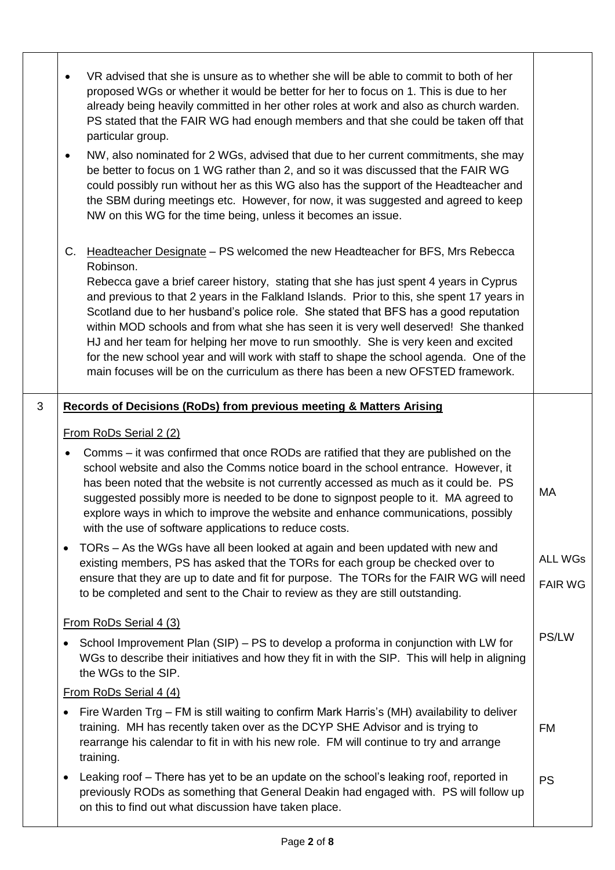|   | VR advised that she is unsure as to whether she will be able to commit to both of her<br>proposed WGs or whether it would be better for her to focus on 1. This is due to her<br>already being heavily committed in her other roles at work and also as church warden.<br>PS stated that the FAIR WG had enough members and that she could be taken off that<br>particular group.<br>NW, also nominated for 2 WGs, advised that due to her current commitments, she may<br>$\bullet$<br>be better to focus on 1 WG rather than 2, and so it was discussed that the FAIR WG<br>could possibly run without her as this WG also has the support of the Headteacher and<br>the SBM during meetings etc. However, for now, it was suggested and agreed to keep<br>NW on this WG for the time being, unless it becomes an issue. |                                  |
|---|----------------------------------------------------------------------------------------------------------------------------------------------------------------------------------------------------------------------------------------------------------------------------------------------------------------------------------------------------------------------------------------------------------------------------------------------------------------------------------------------------------------------------------------------------------------------------------------------------------------------------------------------------------------------------------------------------------------------------------------------------------------------------------------------------------------------------|----------------------------------|
|   | Headteacher Designate - PS welcomed the new Headteacher for BFS, Mrs Rebecca<br>C.<br>Robinson.<br>Rebecca gave a brief career history, stating that she has just spent 4 years in Cyprus<br>and previous to that 2 years in the Falkland Islands. Prior to this, she spent 17 years in<br>Scotland due to her husband's police role. She stated that BFS has a good reputation<br>within MOD schools and from what she has seen it is very well deserved! She thanked<br>HJ and her team for helping her move to run smoothly. She is very keen and excited<br>for the new school year and will work with staff to shape the school agenda. One of the<br>main focuses will be on the curriculum as there has been a new OFSTED framework.                                                                                |                                  |
| 3 | Records of Decisions (RoDs) from previous meeting & Matters Arising                                                                                                                                                                                                                                                                                                                                                                                                                                                                                                                                                                                                                                                                                                                                                        |                                  |
|   | From RoDs Serial 2 (2)                                                                                                                                                                                                                                                                                                                                                                                                                                                                                                                                                                                                                                                                                                                                                                                                     |                                  |
|   | Comms – it was confirmed that once RODs are ratified that they are published on the<br>٠<br>school website and also the Comms notice board in the school entrance. However, it<br>has been noted that the website is not currently accessed as much as it could be. PS<br>suggested possibly more is needed to be done to signpost people to it. MA agreed to<br>explore ways in which to improve the website and enhance communications, possibly<br>with the use of software applications to reduce costs.                                                                                                                                                                                                                                                                                                               | MA                               |
|   | TORs - As the WGs have all been looked at again and been updated with new and<br>٠<br>existing members, PS has asked that the TORs for each group be checked over to<br>ensure that they are up to date and fit for purpose. The TORs for the FAIR WG will need<br>to be completed and sent to the Chair to review as they are still outstanding.                                                                                                                                                                                                                                                                                                                                                                                                                                                                          | <b>ALL WGs</b><br><b>FAIR WG</b> |
|   |                                                                                                                                                                                                                                                                                                                                                                                                                                                                                                                                                                                                                                                                                                                                                                                                                            |                                  |
|   | From RoDs Serial 4 (3)<br>School Improvement Plan (SIP) – PS to develop a proforma in conjunction with LW for<br>WGs to describe their initiatives and how they fit in with the SIP. This will help in aligning<br>the WGs to the SIP.                                                                                                                                                                                                                                                                                                                                                                                                                                                                                                                                                                                     | PS/LW                            |
|   | From RoDs Serial 4 (4)                                                                                                                                                                                                                                                                                                                                                                                                                                                                                                                                                                                                                                                                                                                                                                                                     |                                  |
|   | Fire Warden Trg – FM is still waiting to confirm Mark Harris's (MH) availability to deliver<br>٠<br>training. MH has recently taken over as the DCYP SHE Advisor and is trying to<br>rearrange his calendar to fit in with his new role. FM will continue to try and arrange<br>training.                                                                                                                                                                                                                                                                                                                                                                                                                                                                                                                                  | <b>FM</b>                        |
|   | Leaking roof – There has yet to be an update on the school's leaking roof, reported in<br>previously RODs as something that General Deakin had engaged with. PS will follow up<br>on this to find out what discussion have taken place.                                                                                                                                                                                                                                                                                                                                                                                                                                                                                                                                                                                    | <b>PS</b>                        |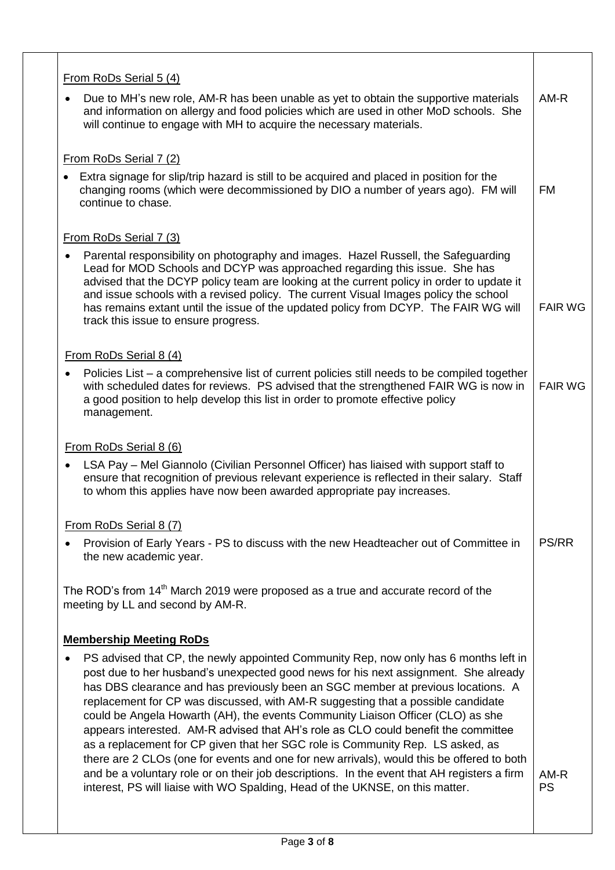| From RoDs Serial 5 (4)                                                                                                                                                                                                                                                                                                                                                                                                                                                                                                                                                                                                                                                                                                                                                                                     |                |
|------------------------------------------------------------------------------------------------------------------------------------------------------------------------------------------------------------------------------------------------------------------------------------------------------------------------------------------------------------------------------------------------------------------------------------------------------------------------------------------------------------------------------------------------------------------------------------------------------------------------------------------------------------------------------------------------------------------------------------------------------------------------------------------------------------|----------------|
| Due to MH's new role, AM-R has been unable as yet to obtain the supportive materials<br>and information on allergy and food policies which are used in other MoD schools. She<br>will continue to engage with MH to acquire the necessary materials.                                                                                                                                                                                                                                                                                                                                                                                                                                                                                                                                                       | AM-R           |
|                                                                                                                                                                                                                                                                                                                                                                                                                                                                                                                                                                                                                                                                                                                                                                                                            |                |
| From RoDs Serial 7 (2)                                                                                                                                                                                                                                                                                                                                                                                                                                                                                                                                                                                                                                                                                                                                                                                     |                |
| Extra signage for slip/trip hazard is still to be acquired and placed in position for the<br>changing rooms (which were decommissioned by DIO a number of years ago). FM will<br>continue to chase.                                                                                                                                                                                                                                                                                                                                                                                                                                                                                                                                                                                                        | <b>FM</b>      |
| From RoDs Serial 7 (3)                                                                                                                                                                                                                                                                                                                                                                                                                                                                                                                                                                                                                                                                                                                                                                                     |                |
| Parental responsibility on photography and images. Hazel Russell, the Safeguarding<br>Lead for MOD Schools and DCYP was approached regarding this issue. She has<br>advised that the DCYP policy team are looking at the current policy in order to update it<br>and issue schools with a revised policy. The current Visual Images policy the school<br>has remains extant until the issue of the updated policy from DCYP. The FAIR WG will<br>track this issue to ensure progress.                                                                                                                                                                                                                                                                                                                      | <b>FAIR WG</b> |
| From RoDs Serial 8 (4)                                                                                                                                                                                                                                                                                                                                                                                                                                                                                                                                                                                                                                                                                                                                                                                     |                |
| Policies List – a comprehensive list of current policies still needs to be compiled together<br>with scheduled dates for reviews. PS advised that the strengthened FAIR WG is now in<br>a good position to help develop this list in order to promote effective policy<br>management.                                                                                                                                                                                                                                                                                                                                                                                                                                                                                                                      | <b>FAIR WG</b> |
|                                                                                                                                                                                                                                                                                                                                                                                                                                                                                                                                                                                                                                                                                                                                                                                                            |                |
| From RoDs Serial 8 (6)<br>LSA Pay – Mel Giannolo (Civilian Personnel Officer) has liaised with support staff to<br>ensure that recognition of previous relevant experience is reflected in their salary. Staff<br>to whom this applies have now been awarded appropriate pay increases.                                                                                                                                                                                                                                                                                                                                                                                                                                                                                                                    |                |
| From RoDs Serial 8 (7)                                                                                                                                                                                                                                                                                                                                                                                                                                                                                                                                                                                                                                                                                                                                                                                     |                |
| Provision of Early Years - PS to discuss with the new Headteacher out of Committee in<br>the new academic year.                                                                                                                                                                                                                                                                                                                                                                                                                                                                                                                                                                                                                                                                                            | <b>PS/RR</b>   |
| The ROD's from 14 <sup>th</sup> March 2019 were proposed as a true and accurate record of the<br>meeting by LL and second by AM-R.                                                                                                                                                                                                                                                                                                                                                                                                                                                                                                                                                                                                                                                                         |                |
| <b>Membership Meeting RoDs</b>                                                                                                                                                                                                                                                                                                                                                                                                                                                                                                                                                                                                                                                                                                                                                                             |                |
|                                                                                                                                                                                                                                                                                                                                                                                                                                                                                                                                                                                                                                                                                                                                                                                                            |                |
| PS advised that CP, the newly appointed Community Rep, now only has 6 months left in<br>post due to her husband's unexpected good news for his next assignment. She already<br>has DBS clearance and has previously been an SGC member at previous locations. A<br>replacement for CP was discussed, with AM-R suggesting that a possible candidate<br>could be Angela Howarth (AH), the events Community Liaison Officer (CLO) as she<br>appears interested. AM-R advised that AH's role as CLO could benefit the committee<br>as a replacement for CP given that her SGC role is Community Rep. LS asked, as<br>there are 2 CLOs (one for events and one for new arrivals), would this be offered to both<br>and be a voluntary role or on their job descriptions. In the event that AH registers a firm | $AM-R$         |
| interest, PS will liaise with WO Spalding, Head of the UKNSE, on this matter.                                                                                                                                                                                                                                                                                                                                                                                                                                                                                                                                                                                                                                                                                                                              | <b>PS</b>      |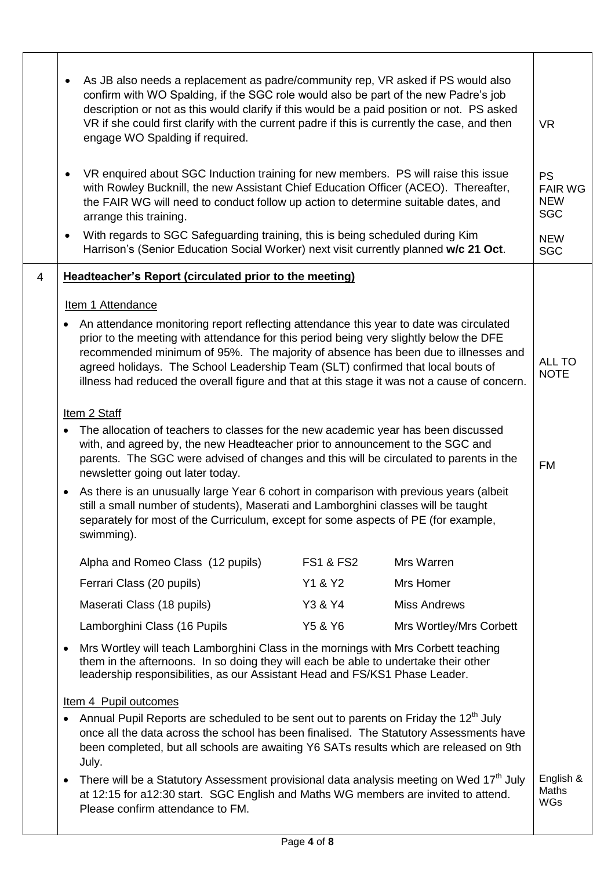|   | As JB also needs a replacement as padre/community rep, VR asked if PS would also<br>confirm with WO Spalding, if the SGC role would also be part of the new Padre's job<br>description or not as this would clarify if this would be a paid position or not. PS asked<br>VR if she could first clarify with the current padre if this is currently the case, and then<br>engage WO Spalding if required.                                                 | <b>VR</b>                                               |
|---|----------------------------------------------------------------------------------------------------------------------------------------------------------------------------------------------------------------------------------------------------------------------------------------------------------------------------------------------------------------------------------------------------------------------------------------------------------|---------------------------------------------------------|
|   | VR enquired about SGC Induction training for new members. PS will raise this issue<br>with Rowley Bucknill, the new Assistant Chief Education Officer (ACEO). Thereafter,<br>the FAIR WG will need to conduct follow up action to determine suitable dates, and<br>arrange this training.                                                                                                                                                                | <b>PS</b><br><b>FAIR WG</b><br><b>NEW</b><br><b>SGC</b> |
|   | With regards to SGC Safeguarding training, this is being scheduled during Kim<br>$\bullet$<br>Harrison's (Senior Education Social Worker) next visit currently planned w/c 21 Oct.                                                                                                                                                                                                                                                                       | <b>NEW</b><br><b>SGC</b>                                |
| 4 | <b>Headteacher's Report (circulated prior to the meeting)</b>                                                                                                                                                                                                                                                                                                                                                                                            |                                                         |
|   | Item 1 Attendance                                                                                                                                                                                                                                                                                                                                                                                                                                        |                                                         |
|   | An attendance monitoring report reflecting attendance this year to date was circulated<br>prior to the meeting with attendance for this period being very slightly below the DFE<br>recommended minimum of 95%. The majority of absence has been due to illnesses and<br>agreed holidays. The School Leadership Team (SLT) confirmed that local bouts of<br>illness had reduced the overall figure and that at this stage it was not a cause of concern. | <b>ALL TO</b><br><b>NOTE</b>                            |
|   | Item 2 Staff                                                                                                                                                                                                                                                                                                                                                                                                                                             |                                                         |
|   | The allocation of teachers to classes for the new academic year has been discussed<br>with, and agreed by, the new Headteacher prior to announcement to the SGC and<br>parents. The SGC were advised of changes and this will be circulated to parents in the<br>newsletter going out later today.                                                                                                                                                       | <b>FM</b>                                               |
|   | As there is an unusually large Year 6 cohort in comparison with previous years (albeit<br>$\bullet$<br>still a small number of students), Maserati and Lamborghini classes will be taught<br>separately for most of the Curriculum, except for some aspects of PE (for example,<br>swimming).                                                                                                                                                            |                                                         |
|   | Mrs Warren<br>Alpha and Romeo Class (12 pupils)<br><b>FS1 &amp; FS2</b>                                                                                                                                                                                                                                                                                                                                                                                  |                                                         |
|   | Ferrari Class (20 pupils)<br>Y1 & Y2<br>Mrs Homer                                                                                                                                                                                                                                                                                                                                                                                                        |                                                         |
|   | Maserati Class (18 pupils)<br>Y3 & Y4<br><b>Miss Andrews</b>                                                                                                                                                                                                                                                                                                                                                                                             |                                                         |
|   | Y5 & Y6<br>Lamborghini Class (16 Pupils<br>Mrs Wortley/Mrs Corbett                                                                                                                                                                                                                                                                                                                                                                                       |                                                         |
|   | Mrs Wortley will teach Lamborghini Class in the mornings with Mrs Corbett teaching<br>$\bullet$<br>them in the afternoons. In so doing they will each be able to undertake their other<br>leadership responsibilities, as our Assistant Head and FS/KS1 Phase Leader.                                                                                                                                                                                    |                                                         |
|   | Item 4 Pupil outcomes                                                                                                                                                                                                                                                                                                                                                                                                                                    |                                                         |
|   | Annual Pupil Reports are scheduled to be sent out to parents on Friday the 12 <sup>th</sup> July<br>once all the data across the school has been finalised. The Statutory Assessments have<br>been completed, but all schools are awaiting Y6 SATs results which are released on 9th<br>July.                                                                                                                                                            |                                                         |
|   | There will be a Statutory Assessment provisional data analysis meeting on Wed 17 <sup>th</sup> July<br>$\bullet$<br>at 12:15 for a12:30 start. SGC English and Maths WG members are invited to attend.<br>Please confirm attendance to FM.                                                                                                                                                                                                               | English &<br>Maths<br><b>WGs</b>                        |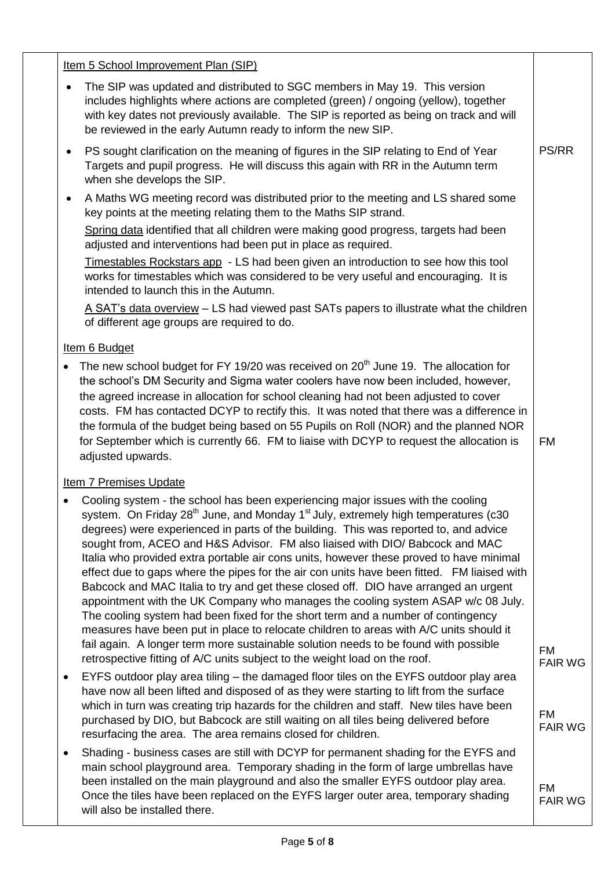| Item 5 School Improvement Plan (SIP)                                                                                                                                                                                                                                                                                                                                                                                                                                                                                                                                                                                                                                                                                                                                                                                                                                                                                                                                                                           |                             |
|----------------------------------------------------------------------------------------------------------------------------------------------------------------------------------------------------------------------------------------------------------------------------------------------------------------------------------------------------------------------------------------------------------------------------------------------------------------------------------------------------------------------------------------------------------------------------------------------------------------------------------------------------------------------------------------------------------------------------------------------------------------------------------------------------------------------------------------------------------------------------------------------------------------------------------------------------------------------------------------------------------------|-----------------------------|
| The SIP was updated and distributed to SGC members in May 19. This version<br>$\bullet$<br>includes highlights where actions are completed (green) / ongoing (yellow), together<br>with key dates not previously available. The SIP is reported as being on track and will<br>be reviewed in the early Autumn ready to inform the new SIP.                                                                                                                                                                                                                                                                                                                                                                                                                                                                                                                                                                                                                                                                     |                             |
| PS sought clarification on the meaning of figures in the SIP relating to End of Year<br>$\bullet$<br>Targets and pupil progress. He will discuss this again with RR in the Autumn term<br>when she develops the SIP.                                                                                                                                                                                                                                                                                                                                                                                                                                                                                                                                                                                                                                                                                                                                                                                           | <b>PS/RR</b>                |
| A Maths WG meeting record was distributed prior to the meeting and LS shared some<br>$\bullet$<br>key points at the meeting relating them to the Maths SIP strand.                                                                                                                                                                                                                                                                                                                                                                                                                                                                                                                                                                                                                                                                                                                                                                                                                                             |                             |
| Spring data identified that all children were making good progress, targets had been<br>adjusted and interventions had been put in place as required.                                                                                                                                                                                                                                                                                                                                                                                                                                                                                                                                                                                                                                                                                                                                                                                                                                                          |                             |
| Timestables Rockstars app - LS had been given an introduction to see how this tool<br>works for timestables which was considered to be very useful and encouraging. It is<br>intended to launch this in the Autumn.                                                                                                                                                                                                                                                                                                                                                                                                                                                                                                                                                                                                                                                                                                                                                                                            |                             |
| A SAT's data overview – LS had viewed past SATs papers to illustrate what the children<br>of different age groups are required to do.                                                                                                                                                                                                                                                                                                                                                                                                                                                                                                                                                                                                                                                                                                                                                                                                                                                                          |                             |
| Item 6 Budget                                                                                                                                                                                                                                                                                                                                                                                                                                                                                                                                                                                                                                                                                                                                                                                                                                                                                                                                                                                                  |                             |
| The new school budget for FY 19/20 was received on 20 <sup>th</sup> June 19. The allocation for<br>the school's DM Security and Sigma water coolers have now been included, however,<br>the agreed increase in allocation for school cleaning had not been adjusted to cover<br>costs. FM has contacted DCYP to rectify this. It was noted that there was a difference in<br>the formula of the budget being based on 55 Pupils on Roll (NOR) and the planned NOR<br>for September which is currently 66. FM to liaise with DCYP to request the allocation is<br>adjusted upwards.                                                                                                                                                                                                                                                                                                                                                                                                                             | <b>FM</b>                   |
| <b>Item 7 Premises Update</b>                                                                                                                                                                                                                                                                                                                                                                                                                                                                                                                                                                                                                                                                                                                                                                                                                                                                                                                                                                                  |                             |
| Cooling system - the school has been experiencing major issues with the cooling<br>system. On Friday 28 <sup>th</sup> June, and Monday 1 <sup>st</sup> July, extremely high temperatures (c30<br>degrees) were experienced in parts of the building. This was reported to, and advice<br>sought from, ACEO and H&S Advisor. FM also liaised with DIO/ Babcock and MAC<br>Italia who provided extra portable air cons units, however these proved to have minimal<br>effect due to gaps where the pipes for the air con units have been fitted. FM liaised with<br>Babcock and MAC Italia to try and get these closed off. DIO have arranged an urgent<br>appointment with the UK Company who manages the cooling system ASAP w/c 08 July.<br>The cooling system had been fixed for the short term and a number of contingency<br>measures have been put in place to relocate children to areas with A/C units should it<br>fail again. A longer term more sustainable solution needs to be found with possible |                             |
| retrospective fitting of A/C units subject to the weight load on the roof.                                                                                                                                                                                                                                                                                                                                                                                                                                                                                                                                                                                                                                                                                                                                                                                                                                                                                                                                     | <b>FM</b><br><b>FAIR WG</b> |
| EYFS outdoor play area tiling – the damaged floor tiles on the EYFS outdoor play area<br>٠<br>have now all been lifted and disposed of as they were starting to lift from the surface<br>which in turn was creating trip hazards for the children and staff. New tiles have been<br>purchased by DIO, but Babcock are still waiting on all tiles being delivered before<br>resurfacing the area. The area remains closed for children.                                                                                                                                                                                                                                                                                                                                                                                                                                                                                                                                                                         | <b>FM</b><br><b>FAIR WG</b> |
| Shading - business cases are still with DCYP for permanent shading for the EYFS and<br>main school playground area. Temporary shading in the form of large umbrellas have<br>been installed on the main playground and also the smaller EYFS outdoor play area.<br>Once the tiles have been replaced on the EYFS larger outer area, temporary shading<br>will also be installed there.                                                                                                                                                                                                                                                                                                                                                                                                                                                                                                                                                                                                                         | <b>FM</b><br><b>FAIR WG</b> |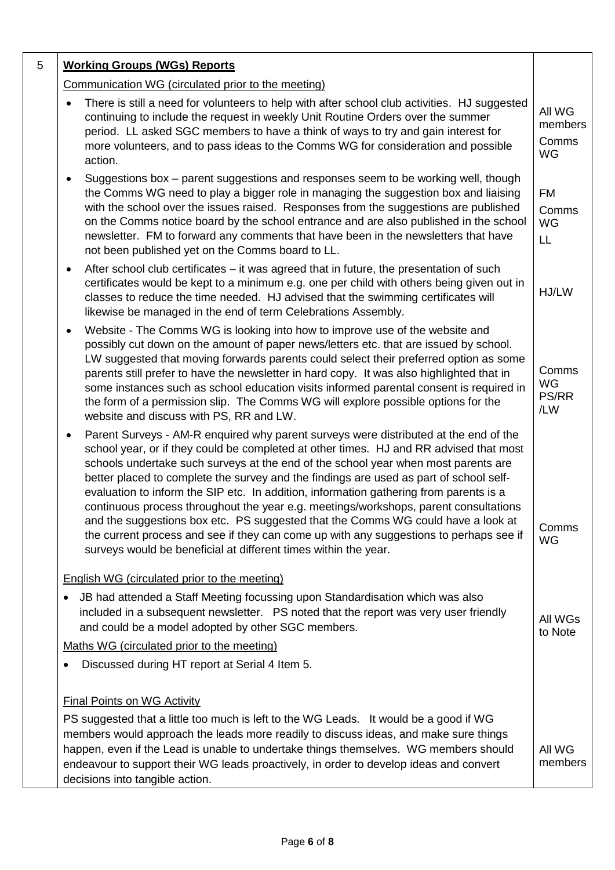| 5 | <b>Working Groups (WGs) Reports</b>                                                                                                                                                                                                                                                                                                                                                                                                                                                                                                                                                                                                                                                                                                                                                               |                                  |
|---|---------------------------------------------------------------------------------------------------------------------------------------------------------------------------------------------------------------------------------------------------------------------------------------------------------------------------------------------------------------------------------------------------------------------------------------------------------------------------------------------------------------------------------------------------------------------------------------------------------------------------------------------------------------------------------------------------------------------------------------------------------------------------------------------------|----------------------------------|
|   | Communication WG (circulated prior to the meeting)                                                                                                                                                                                                                                                                                                                                                                                                                                                                                                                                                                                                                                                                                                                                                |                                  |
|   | There is still a need for volunteers to help with after school club activities. HJ suggested<br>continuing to include the request in weekly Unit Routine Orders over the summer<br>period. LL asked SGC members to have a think of ways to try and gain interest for<br>more volunteers, and to pass ideas to the Comms WG for consideration and possible<br>action.                                                                                                                                                                                                                                                                                                                                                                                                                              | All WG<br>members<br>Comms<br>WG |
|   | Suggestions box - parent suggestions and responses seem to be working well, though<br>$\bullet$<br>the Comms WG need to play a bigger role in managing the suggestion box and liaising<br>with the school over the issues raised. Responses from the suggestions are published<br>on the Comms notice board by the school entrance and are also published in the school<br>newsletter. FM to forward any comments that have been in the newsletters that have<br>not been published yet on the Comms board to LL.                                                                                                                                                                                                                                                                                 | <b>FM</b><br>Comms<br>WG<br>LL   |
|   | After school club certificates – it was agreed that in future, the presentation of such<br>$\bullet$<br>certificates would be kept to a minimum e.g. one per child with others being given out in<br>classes to reduce the time needed. HJ advised that the swimming certificates will<br>likewise be managed in the end of term Celebrations Assembly.                                                                                                                                                                                                                                                                                                                                                                                                                                           | HJ/LW                            |
|   | Website - The Comms WG is looking into how to improve use of the website and<br>possibly cut down on the amount of paper news/letters etc. that are issued by school.<br>LW suggested that moving forwards parents could select their preferred option as some<br>parents still prefer to have the newsletter in hard copy. It was also highlighted that in<br>some instances such as school education visits informed parental consent is required in<br>the form of a permission slip. The Comms WG will explore possible options for the<br>website and discuss with PS, RR and LW.                                                                                                                                                                                                            | Comms<br>WG<br>PS/RR<br>/LW      |
|   | Parent Surveys - AM-R enquired why parent surveys were distributed at the end of the<br>school year, or if they could be completed at other times. HJ and RR advised that most<br>schools undertake such surveys at the end of the school year when most parents are<br>better placed to complete the survey and the findings are used as part of school self-<br>evaluation to inform the SIP etc. In addition, information gathering from parents is a<br>continuous process throughout the year e.g. meetings/workshops, parent consultations<br>and the suggestions box etc. PS suggested that the Comms WG could have a look at<br>the current process and see if they can come up with any suggestions to perhaps see if<br>surveys would be beneficial at different times within the year. | Comms<br><b>WG</b>               |
|   | English WG (circulated prior to the meeting)                                                                                                                                                                                                                                                                                                                                                                                                                                                                                                                                                                                                                                                                                                                                                      |                                  |
|   | JB had attended a Staff Meeting focussing upon Standardisation which was also<br>included in a subsequent newsletter. PS noted that the report was very user friendly<br>and could be a model adopted by other SGC members.                                                                                                                                                                                                                                                                                                                                                                                                                                                                                                                                                                       | All WGs<br>to Note               |
|   | Maths WG (circulated prior to the meeting)                                                                                                                                                                                                                                                                                                                                                                                                                                                                                                                                                                                                                                                                                                                                                        |                                  |
|   | Discussed during HT report at Serial 4 Item 5.                                                                                                                                                                                                                                                                                                                                                                                                                                                                                                                                                                                                                                                                                                                                                    |                                  |
|   | <b>Final Points on WG Activity</b>                                                                                                                                                                                                                                                                                                                                                                                                                                                                                                                                                                                                                                                                                                                                                                |                                  |
|   | PS suggested that a little too much is left to the WG Leads. It would be a good if WG                                                                                                                                                                                                                                                                                                                                                                                                                                                                                                                                                                                                                                                                                                             |                                  |
|   | members would approach the leads more readily to discuss ideas, and make sure things<br>happen, even if the Lead is unable to undertake things themselves. WG members should<br>endeavour to support their WG leads proactively, in order to develop ideas and convert<br>decisions into tangible action.                                                                                                                                                                                                                                                                                                                                                                                                                                                                                         | All WG<br>members                |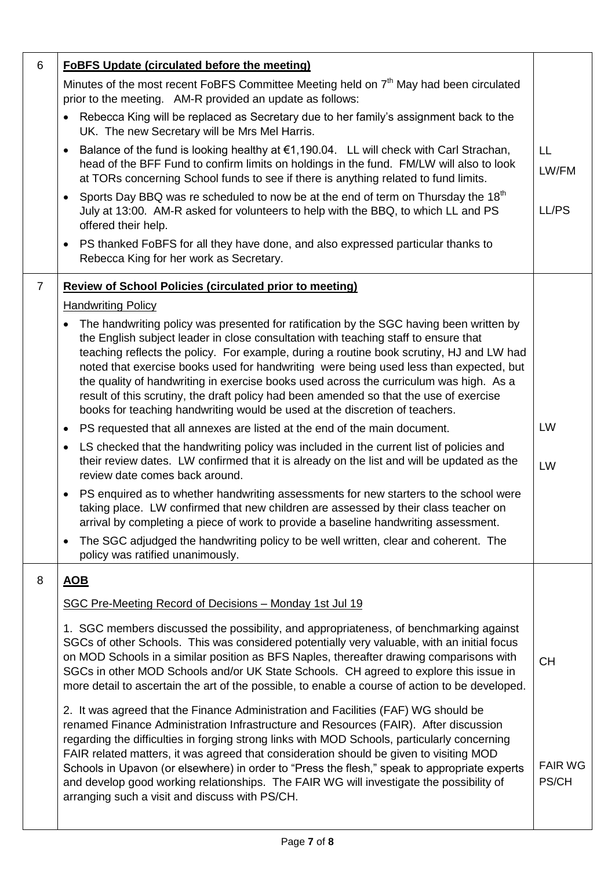| 6              | <b>FoBFS Update (circulated before the meeting)</b>                                                                                                                                                                                                                                                                                                                                                                                                                                                                                                                                                                                     |                         |
|----------------|-----------------------------------------------------------------------------------------------------------------------------------------------------------------------------------------------------------------------------------------------------------------------------------------------------------------------------------------------------------------------------------------------------------------------------------------------------------------------------------------------------------------------------------------------------------------------------------------------------------------------------------------|-------------------------|
|                | Minutes of the most recent FoBFS Committee Meeting held on 7 <sup>th</sup> May had been circulated<br>prior to the meeting. AM-R provided an update as follows:                                                                                                                                                                                                                                                                                                                                                                                                                                                                         |                         |
|                | Rebecca King will be replaced as Secretary due to her family's assignment back to the<br>$\bullet$<br>UK. The new Secretary will be Mrs Mel Harris.                                                                                                                                                                                                                                                                                                                                                                                                                                                                                     |                         |
|                | Balance of the fund is looking healthy at $\epsilon$ 1,190.04. LL will check with Carl Strachan,<br>$\bullet$<br>head of the BFF Fund to confirm limits on holdings in the fund. FM/LW will also to look<br>at TORs concerning School funds to see if there is anything related to fund limits.                                                                                                                                                                                                                                                                                                                                         | LL<br>LW/FM             |
|                | Sports Day BBQ was re scheduled to now be at the end of term on Thursday the 18 <sup>th</sup><br>$\bullet$<br>July at 13:00. AM-R asked for volunteers to help with the BBQ, to which LL and PS<br>offered their help.                                                                                                                                                                                                                                                                                                                                                                                                                  | LL/PS                   |
|                | PS thanked FoBFS for all they have done, and also expressed particular thanks to<br>$\bullet$<br>Rebecca King for her work as Secretary.                                                                                                                                                                                                                                                                                                                                                                                                                                                                                                |                         |
| $\overline{7}$ | <b>Review of School Policies (circulated prior to meeting)</b>                                                                                                                                                                                                                                                                                                                                                                                                                                                                                                                                                                          |                         |
|                | <b>Handwriting Policy</b>                                                                                                                                                                                                                                                                                                                                                                                                                                                                                                                                                                                                               |                         |
|                | The handwriting policy was presented for ratification by the SGC having been written by<br>the English subject leader in close consultation with teaching staff to ensure that<br>teaching reflects the policy. For example, during a routine book scrutiny, HJ and LW had<br>noted that exercise books used for handwriting were being used less than expected, but<br>the quality of handwriting in exercise books used across the curriculum was high. As a<br>result of this scrutiny, the draft policy had been amended so that the use of exercise<br>books for teaching handwriting would be used at the discretion of teachers. |                         |
|                | PS requested that all annexes are listed at the end of the main document.<br>$\bullet$                                                                                                                                                                                                                                                                                                                                                                                                                                                                                                                                                  | <b>LW</b>               |
|                | LS checked that the handwriting policy was included in the current list of policies and<br>their review dates. LW confirmed that it is already on the list and will be updated as the<br>review date comes back around.                                                                                                                                                                                                                                                                                                                                                                                                                 | LW                      |
|                | PS enquired as to whether handwriting assessments for new starters to the school were<br>$\bullet$<br>taking place. LW confirmed that new children are assessed by their class teacher on<br>arrival by completing a piece of work to provide a baseline handwriting assessment.                                                                                                                                                                                                                                                                                                                                                        |                         |
|                | The SGC adjudged the handwriting policy to be well written, clear and coherent. The<br>$\bullet$<br>policy was ratified unanimously.                                                                                                                                                                                                                                                                                                                                                                                                                                                                                                    |                         |
| 8              | <u>AOB</u>                                                                                                                                                                                                                                                                                                                                                                                                                                                                                                                                                                                                                              |                         |
|                | SGC Pre-Meeting Record of Decisions - Monday 1st Jul 19                                                                                                                                                                                                                                                                                                                                                                                                                                                                                                                                                                                 |                         |
|                | 1. SGC members discussed the possibility, and appropriateness, of benchmarking against<br>SGCs of other Schools. This was considered potentially very valuable, with an initial focus<br>on MOD Schools in a similar position as BFS Naples, thereafter drawing comparisons with<br>SGCs in other MOD Schools and/or UK State Schools. CH agreed to explore this issue in<br>more detail to ascertain the art of the possible, to enable a course of action to be developed.                                                                                                                                                            | <b>CH</b>               |
|                | 2. It was agreed that the Finance Administration and Facilities (FAF) WG should be<br>renamed Finance Administration Infrastructure and Resources (FAIR). After discussion<br>regarding the difficulties in forging strong links with MOD Schools, particularly concerning<br>FAIR related matters, it was agreed that consideration should be given to visiting MOD<br>Schools in Upavon (or elsewhere) in order to "Press the flesh," speak to appropriate experts<br>and develop good working relationships. The FAIR WG will investigate the possibility of<br>arranging such a visit and discuss with PS/CH.                       | <b>FAIR WG</b><br>PS/CH |